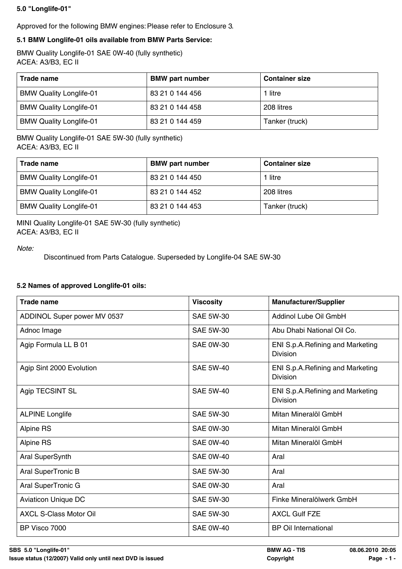## **5.0 "Longlife-01"**

Approved for the following BMW engines: Please refer to Enclosure 3.

## **5.1 BMW Longlife-01 oils available from BMW Parts Service:**

BMW Quality Longlife-01 SAE 0W-40 (fully synthetic) ACEA: A3/B3, EC II

| Trade name                     | <b>BMW</b> part number | <b>Container size</b> |
|--------------------------------|------------------------|-----------------------|
| <b>BMW Quality Longlife-01</b> | 83 21 0 144 456        | 1 litre               |
| <b>BMW Quality Longlife-01</b> | 83 21 0 144 458        | 208 litres            |
| <b>BMW Quality Longlife-01</b> | 83 21 0 144 459        | Tanker (truck)        |

## BMW Quality Longlife-01 SAE 5W-30 (fully synthetic) ACEA: A3/B3, EC II

| Trade name                     | <b>BMW part number</b> | <b>Container size</b> |
|--------------------------------|------------------------|-----------------------|
| <b>BMW Quality Longlife-01</b> | 83 21 0 144 450        | 1 litre               |
| <b>BMW Quality Longlife-01</b> | 83 21 0 144 452        | 208 litres            |
| <b>BMW Quality Longlife-01</b> | 83 21 0 144 453        | Tanker (truck)        |

MINI Quality Longlife-01 SAE 5W-30 (fully synthetic) ACEA: A3/B3, EC II

*Note:*

Discontinued from Parts Catalogue. Superseded by Longlife-04 SAE 5W-30

## **5.2 Names of approved Longlife-01 oils:**

| <b>Trade name</b>             | <b>Viscosity</b> | <b>Manufacturer/Supplier</b>                         |
|-------------------------------|------------------|------------------------------------------------------|
| ADDINOL Super power MV 0537   | <b>SAE 5W-30</b> | Addinol Lube Oil GmbH                                |
| Adnoc Image                   | <b>SAE 5W-30</b> | Abu Dhabi National Oil Co.                           |
| Agip Formula LL B 01          | <b>SAE 0W-30</b> | ENI S.p.A. Refining and Marketing<br><b>Division</b> |
| Agip Sint 2000 Evolution      | <b>SAE 5W-40</b> | ENI S.p.A. Refining and Marketing<br><b>Division</b> |
| Agip TECSINT SL               | <b>SAE 5W-40</b> | ENI S.p.A. Refining and Marketing<br><b>Division</b> |
| <b>ALPINE Longlife</b>        | <b>SAE 5W-30</b> | Mitan Mineralöl GmbH                                 |
| Alpine RS                     | <b>SAE 0W-30</b> | Mitan Mineralöl GmbH                                 |
| Alpine RS                     | <b>SAE 0W-40</b> | Mitan Mineralöl GmbH                                 |
| Aral SuperSynth               | <b>SAE 0W-40</b> | Aral                                                 |
| Aral SuperTronic B            | <b>SAE 5W-30</b> | Aral                                                 |
| Aral SuperTronic G            | <b>SAE 0W-30</b> | Aral                                                 |
| <b>Aviaticon Unique DC</b>    | <b>SAE 5W-30</b> | Finke Mineralölwerk GmbH                             |
| <b>AXCL S-Class Motor Oil</b> | <b>SAE 5W-30</b> | <b>AXCL Gulf FZE</b>                                 |
| BP Visco 7000                 | <b>SAE 0W-40</b> | <b>BP Oil International</b>                          |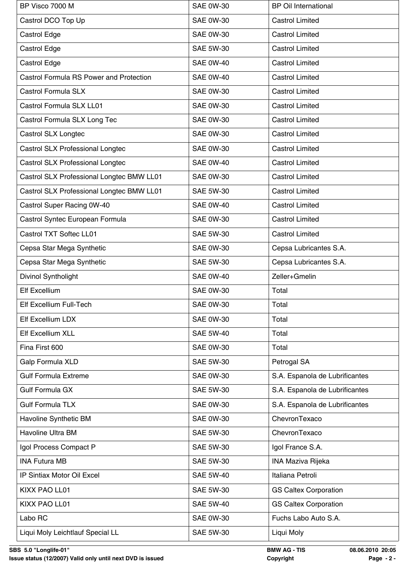| BP Visco 7000 M                                | <b>SAE 0W-30</b> | <b>BP Oil International</b>    |
|------------------------------------------------|------------------|--------------------------------|
| Castrol DCO Top Up                             | <b>SAE 0W-30</b> | <b>Castrol Limited</b>         |
| Castrol Edge                                   | <b>SAE 0W-30</b> | <b>Castrol Limited</b>         |
| Castrol Edge                                   | <b>SAE 5W-30</b> | <b>Castrol Limited</b>         |
| Castrol Edge                                   | <b>SAE 0W-40</b> | <b>Castrol Limited</b>         |
| <b>Castrol Formula RS Power and Protection</b> | <b>SAE 0W-40</b> | <b>Castrol Limited</b>         |
| Castrol Formula SLX                            | <b>SAE 0W-30</b> | <b>Castrol Limited</b>         |
| Castrol Formula SLX LL01                       | <b>SAE 0W-30</b> | <b>Castrol Limited</b>         |
| Castrol Formula SLX Long Tec                   | <b>SAE 0W-30</b> | <b>Castrol Limited</b>         |
| Castrol SLX Longtec                            | <b>SAE 0W-30</b> | <b>Castrol Limited</b>         |
| <b>Castrol SLX Professional Longtec</b>        | <b>SAE 0W-30</b> | <b>Castrol Limited</b>         |
| Castrol SLX Professional Longtec               | <b>SAE 0W-40</b> | <b>Castrol Limited</b>         |
| Castrol SLX Professional Longtec BMW LL01      | <b>SAE 0W-30</b> | <b>Castrol Limited</b>         |
| Castrol SLX Professional Longtec BMW LL01      | <b>SAE 5W-30</b> | <b>Castrol Limited</b>         |
| Castrol Super Racing 0W-40                     | <b>SAE 0W-40</b> | <b>Castrol Limited</b>         |
| Castrol Syntec European Formula                | <b>SAE 0W-30</b> | <b>Castrol Limited</b>         |
| Castrol TXT Softec LL01                        | <b>SAE 5W-30</b> | <b>Castrol Limited</b>         |
| Cepsa Star Mega Synthetic                      | <b>SAE 0W-30</b> | Cepsa Lubricantes S.A.         |
| Cepsa Star Mega Synthetic                      | <b>SAE 5W-30</b> | Cepsa Lubricantes S.A.         |
| Divinol Syntholight                            | <b>SAE 0W-40</b> | Zeller+Gmelin                  |
| <b>Elf Excellium</b>                           | <b>SAE 0W-30</b> | Total                          |
| Elf Excellium Full-Tech                        | <b>SAE 0W-30</b> | Total                          |
| Elf Excellium LDX                              | <b>SAE 0W-30</b> | Total                          |
| Elf Excellium XLL                              | <b>SAE 5W-40</b> | Total                          |
| Fina First 600                                 | <b>SAE 0W-30</b> | Total                          |
| Galp Formula XLD                               | <b>SAE 5W-30</b> | Petrogal SA                    |
| <b>Gulf Formula Extreme</b>                    | <b>SAE 0W-30</b> | S.A. Espanola de Lubrificantes |
| <b>Gulf Formula GX</b>                         | <b>SAE 5W-30</b> | S.A. Espanola de Lubrificantes |
| <b>Gulf Formula TLX</b>                        | <b>SAE 0W-30</b> | S.A. Espanola de Lubrificantes |
| Havoline Synthetic BM                          | <b>SAE 0W-30</b> | ChevronTexaco                  |
| Havoline Ultra BM                              | <b>SAE 5W-30</b> | ChevronTexaco                  |
| Igol Process Compact P                         | <b>SAE 5W-30</b> | Igol France S.A.               |
| <b>INA Futura MB</b>                           | <b>SAE 5W-30</b> | <b>INA Maziva Rijeka</b>       |
| IP Sintiax Motor Oil Excel                     | <b>SAE 5W-40</b> | Italiana Petroli               |
| KIXX PAO LL01                                  | <b>SAE 5W-30</b> | <b>GS Caltex Corporation</b>   |
| KIXX PAO LL01                                  | <b>SAE 5W-40</b> | <b>GS Caltex Corporation</b>   |
| Labo RC                                        | <b>SAE 0W-30</b> | Fuchs Labo Auto S.A.           |
| Liqui Moly Leichtlauf Special LL               | <b>SAE 5W-30</b> | Liqui Moly                     |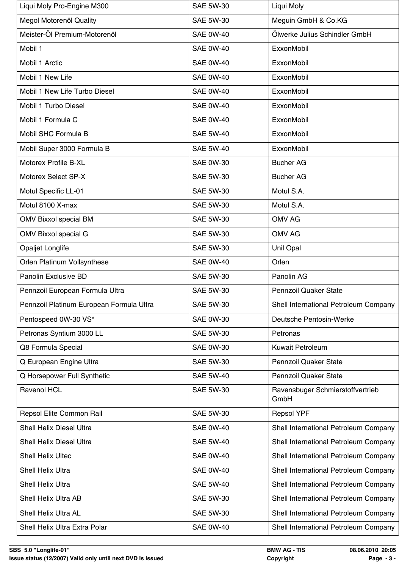| Liqui Moly Pro-Engine M300               | <b>SAE 5W-30</b> | Liqui Moly                               |
|------------------------------------------|------------------|------------------------------------------|
| Megol Motorenöl Quality                  | <b>SAE 5W-30</b> | Meguin GmbH & Co.KG                      |
| Meister-Öl Premium-Motorenöl             | <b>SAE 0W-40</b> | Ölwerke Julius Schindler GmbH            |
| Mobil 1                                  | <b>SAE 0W-40</b> | ExxonMobil                               |
| Mobil 1 Arctic                           | <b>SAE 0W-40</b> | ExxonMobil                               |
| Mobil 1 New Life                         | <b>SAE 0W-40</b> | <b>ExxonMobil</b>                        |
| Mobil 1 New Life Turbo Diesel            | <b>SAE 0W-40</b> | ExxonMobil                               |
| Mobil 1 Turbo Diesel                     | <b>SAE 0W-40</b> | ExxonMobil                               |
| Mobil 1 Formula C                        | <b>SAE 0W-40</b> | ExxonMobil                               |
| Mobil SHC Formula B                      | <b>SAE 5W-40</b> | ExxonMobil                               |
| Mobil Super 3000 Formula B               | <b>SAE 5W-40</b> | ExxonMobil                               |
| Motorex Profile B-XL                     | <b>SAE 0W-30</b> | <b>Bucher AG</b>                         |
| Motorex Select SP-X                      | <b>SAE 5W-30</b> | <b>Bucher AG</b>                         |
| Motul Specific LL-01                     | <b>SAE 5W-30</b> | Motul S.A.                               |
| Motul 8100 X-max                         | <b>SAE 5W-30</b> | Motul S.A.                               |
| <b>OMV Bixxol special BM</b>             | <b>SAE 5W-30</b> | <b>OMV AG</b>                            |
| <b>OMV Bixxol special G</b>              | <b>SAE 5W-30</b> | <b>OMV AG</b>                            |
| <b>Opaljet Longlife</b>                  | <b>SAE 5W-30</b> | Unil Opal                                |
| Orlen Platinum Vollsynthese              | <b>SAE 0W-40</b> | Orlen                                    |
| Panolin Exclusive BD                     | <b>SAE 5W-30</b> | Panolin AG                               |
| Pennzoil European Formula Ultra          | <b>SAE 5W-30</b> | <b>Pennzoil Quaker State</b>             |
| Pennzoil Platinum European Formula Ultra | <b>SAE 5W-30</b> | Shell International Petroleum Company    |
| Pentospeed 0W-30 VS*                     | <b>SAE 0W-30</b> | Deutsche Pentosin-Werke                  |
| Petronas Syntium 3000 LL                 | <b>SAE 5W-30</b> | Petronas                                 |
| Q8 Formula Special                       | <b>SAE 0W-30</b> | <b>Kuwait Petroleum</b>                  |
| Q European Engine Ultra                  | <b>SAE 5W-30</b> | <b>Pennzoil Quaker State</b>             |
| Q Horsepower Full Synthetic              | <b>SAE 5W-40</b> | <b>Pennzoil Quaker State</b>             |
| <b>Ravenol HCL</b>                       | <b>SAE 5W-30</b> | Ravensbuger Schmierstoffvertrieb<br>GmbH |
| Repsol Elite Common Rail                 | <b>SAE 5W-30</b> | <b>Repsol YPF</b>                        |
| <b>Shell Helix Diesel Ultra</b>          | <b>SAE 0W-40</b> | Shell International Petroleum Company    |
| <b>Shell Helix Diesel Ultra</b>          | <b>SAE 5W-40</b> | Shell International Petroleum Company    |
| <b>Shell Helix Ultec</b>                 | <b>SAE 0W-40</b> | Shell International Petroleum Company    |
| <b>Shell Helix Ultra</b>                 | <b>SAE 0W-40</b> | Shell International Petroleum Company    |
| <b>Shell Helix Ultra</b>                 | <b>SAE 5W-40</b> | Shell International Petroleum Company    |
| <b>Shell Helix Ultra AB</b>              | <b>SAE 5W-30</b> | Shell International Petroleum Company    |
| Shell Helix Ultra AL                     | <b>SAE 5W-30</b> | Shell International Petroleum Company    |
| Shell Helix Ultra Extra Polar            | <b>SAE 0W-40</b> | Shell International Petroleum Company    |